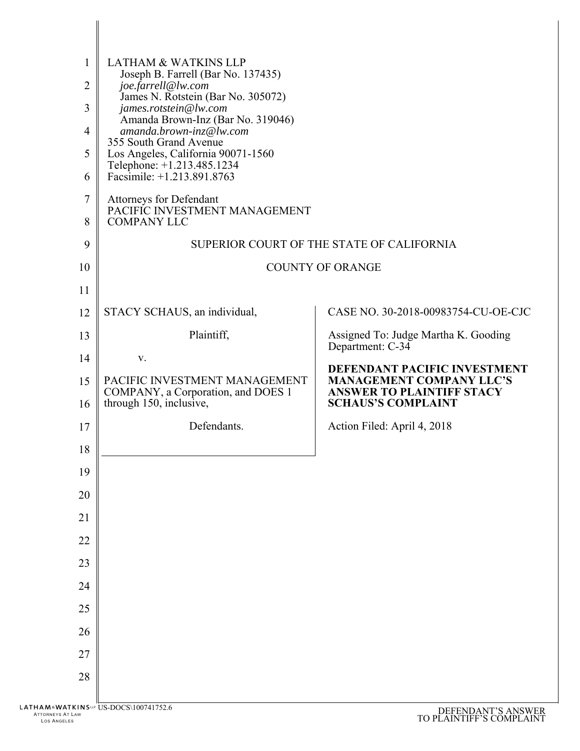| 1            | <b>LATHAM &amp; WATKINS LLP</b>                                                                |                                                                                                  |
|--------------|------------------------------------------------------------------------------------------------|--------------------------------------------------------------------------------------------------|
| 2            | Joseph B. Farrell (Bar No. 137435)<br>joe.farrell@lw.com                                       |                                                                                                  |
| 3            | James N. Rotstein (Bar No. 305072)<br>james.rotstein@lw.com                                    |                                                                                                  |
| 4            | Amanda Brown-Inz (Bar No. 319046)<br>amanda.brown-inz@lw.com                                   |                                                                                                  |
|              | 355 South Grand Avenue                                                                         |                                                                                                  |
| 5            | Los Angeles, California 90071-1560<br>Telephone: +1.213.485.1234                               |                                                                                                  |
| 6            | Facsimile: $+1.213.891.8763$                                                                   |                                                                                                  |
| 7<br>8       | <b>Attorneys for Defendant</b><br>PACIFIC INVESTMENT MANAGEMENT<br><b>COMPANY LLC</b>          |                                                                                                  |
| 9            |                                                                                                | SUPERIOR COURT OF THE STATE OF CALIFORNIA                                                        |
| 10           |                                                                                                | <b>COUNTY OF ORANGE</b>                                                                          |
| 11           |                                                                                                |                                                                                                  |
| 12           | STACY SCHAUS, an individual,                                                                   | CASE NO. 30-2018-00983754-CU-OE-CJC                                                              |
|              | Plaintiff,                                                                                     |                                                                                                  |
| 13           |                                                                                                | Assigned To: Judge Martha K. Gooding<br>Department: C-34                                         |
| 14           | V.                                                                                             | DEFENDANT PACIFIC INVESTMENT                                                                     |
| 15<br>16     | PACIFIC INVESTMENT MANAGEMENT<br>COMPANY, a Corporation, and DOES 1<br>through 150, inclusive, | <b>MANAGEMENT COMPANY LLC'S</b><br><b>ANSWER TO PLAINTIFF STACY</b><br><b>SCHAUS'S COMPLAINT</b> |
|              |                                                                                                |                                                                                                  |
| 17           | Defendants.                                                                                    | Action Filed: April 4, 2018                                                                      |
| 18           |                                                                                                |                                                                                                  |
| 19           |                                                                                                |                                                                                                  |
| 20           |                                                                                                |                                                                                                  |
| 21           |                                                                                                |                                                                                                  |
| 22           |                                                                                                |                                                                                                  |
| 23           |                                                                                                |                                                                                                  |
| 24           |                                                                                                |                                                                                                  |
| 25           |                                                                                                |                                                                                                  |
| 26           |                                                                                                |                                                                                                  |
| 27           |                                                                                                |                                                                                                  |
| 28           |                                                                                                |                                                                                                  |
|              |                                                                                                |                                                                                                  |
| T LAW<br>.ES | TKINS <sup>to</sup> US-DOCS\100741752.6                                                        | DEFENDANT'S ANSWER<br>TO PLAINTIFF'S COMPLAINT                                                   |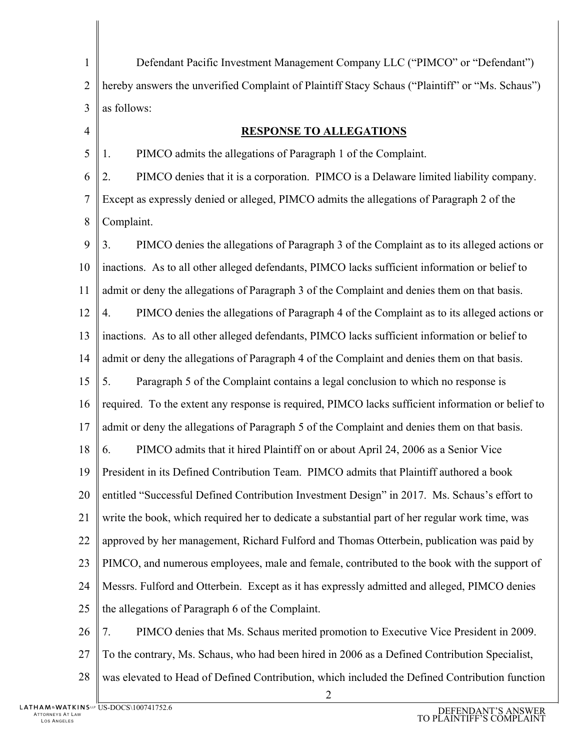1  $\mathcal{D}_{\mathcal{L}}$ 3 4 5 6 7 8 9 10 11 12 13 14 15 16 17 18 19 20 21 22 23 24 25 26 27 Defendant Pacific Investment Management Company LLC ("PIMCO" or "Defendant") hereby answers the unverified Complaint of Plaintiff Stacy Schaus ("Plaintiff" or "Ms. Schaus") as follows: **RESPONSE TO ALLEGATIONS** 1. PIMCO admits the allegations of Paragraph 1 of the Complaint. 2. PIMCO denies that it is a corporation. PIMCO is a Delaware limited liability company. Except as expressly denied or alleged, PIMCO admits the allegations of Paragraph 2 of the Complaint. 3. PIMCO denies the allegations of Paragraph 3 of the Complaint as to its alleged actions or inactions. As to all other alleged defendants, PIMCO lacks sufficient information or belief to admit or deny the allegations of Paragraph 3 of the Complaint and denies them on that basis. 4. PIMCO denies the allegations of Paragraph 4 of the Complaint as to its alleged actions or inactions. As to all other alleged defendants, PIMCO lacks sufficient information or belief to admit or deny the allegations of Paragraph 4 of the Complaint and denies them on that basis. 5. Paragraph 5 of the Complaint contains a legal conclusion to which no response is required. To the extent any response is required, PIMCO lacks sufficient information or belief to admit or deny the allegations of Paragraph 5 of the Complaint and denies them on that basis. 6. PIMCO admits that it hired Plaintiff on or about April 24, 2006 as a Senior Vice President in its Defined Contribution Team. PIMCO admits that Plaintiff authored a book entitled "Successful Defined Contribution Investment Design" in 2017. Ms. Schaus's effort to write the book, which required her to dedicate a substantial part of her regular work time, was approved by her management, Richard Fulford and Thomas Otterbein, publication was paid by PIMCO, and numerous employees, male and female, contributed to the book with the support of Messrs. Fulford and Otterbein. Except as it has expressly admitted and alleged, PIMCO denies the allegations of Paragraph 6 of the Complaint. 7. PIMCO denies that Ms. Schaus merited promotion to Executive Vice President in 2009. To the contrary, Ms. Schaus, who had been hired in 2006 as a Defined Contribution Specialist,

28 was elevated to Head of Defined Contribution, which included the Defined Contribution function

2

US-DOCS\100741752.6 DEFENDANT'S ANSWER TO PLAINTIFF'S COMPLAINT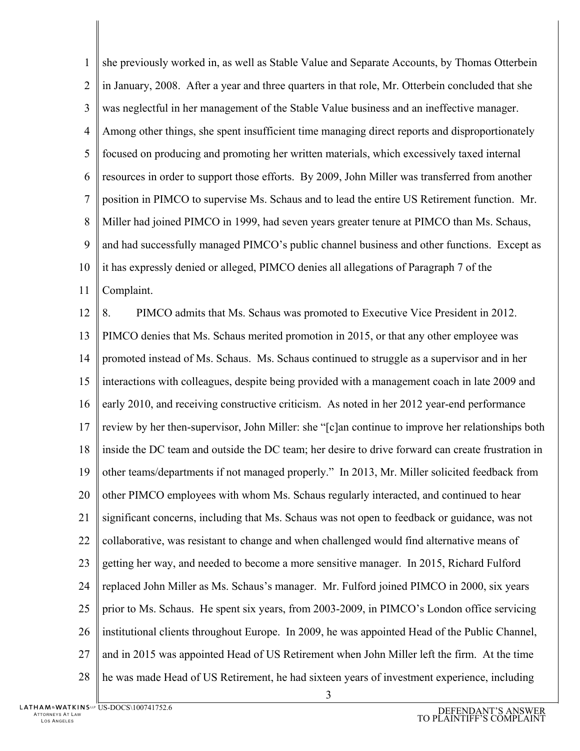1  $\mathcal{D}_{\mathcal{L}}$ 3 4 5 6 7 8 9 10 11 she previously worked in, as well as Stable Value and Separate Accounts, by Thomas Otterbein in January, 2008. After a year and three quarters in that role, Mr. Otterbein concluded that she was neglectful in her management of the Stable Value business and an ineffective manager. Among other things, she spent insufficient time managing direct reports and disproportionately focused on producing and promoting her written materials, which excessively taxed internal resources in order to support those efforts. By 2009, John Miller was transferred from another position in PIMCO to supervise Ms. Schaus and to lead the entire US Retirement function. Mr. Miller had joined PIMCO in 1999, had seven years greater tenure at PIMCO than Ms. Schaus, and had successfully managed PIMCO's public channel business and other functions. Except as it has expressly denied or alleged, PIMCO denies all allegations of Paragraph 7 of the Complaint.

12 13 14 15 16 17 18 19 20 21 22 23 24 25 26 27 28 8. PIMCO admits that Ms. Schaus was promoted to Executive Vice President in 2012. PIMCO denies that Ms. Schaus merited promotion in 2015, or that any other employee was promoted instead of Ms. Schaus. Ms. Schaus continued to struggle as a supervisor and in her interactions with colleagues, despite being provided with a management coach in late 2009 and early 2010, and receiving constructive criticism. As noted in her 2012 year-end performance review by her then-supervisor, John Miller: she "[c]an continue to improve her relationships both inside the DC team and outside the DC team; her desire to drive forward can create frustration in other teams/departments if not managed properly." In 2013, Mr. Miller solicited feedback from other PIMCO employees with whom Ms. Schaus regularly interacted, and continued to hear significant concerns, including that Ms. Schaus was not open to feedback or guidance, was not collaborative, was resistant to change and when challenged would find alternative means of getting her way, and needed to become a more sensitive manager. In 2015, Richard Fulford replaced John Miller as Ms. Schaus's manager. Mr. Fulford joined PIMCO in 2000, six years prior to Ms. Schaus. He spent six years, from 2003-2009, in PIMCO's London office servicing institutional clients throughout Europe. In 2009, he was appointed Head of the Public Channel, and in 2015 was appointed Head of US Retirement when John Miller left the firm. At the time he was made Head of US Retirement, he had sixteen years of investment experience, including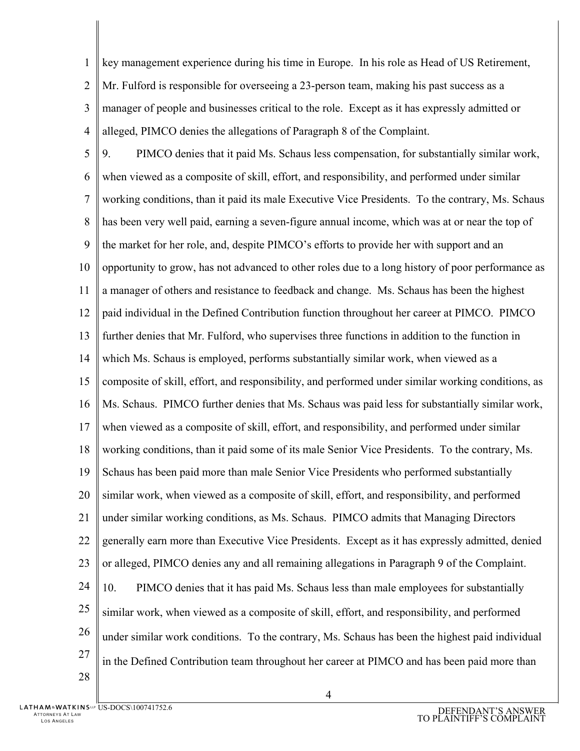1  $\overline{2}$ 3 4 key management experience during his time in Europe. In his role as Head of US Retirement, Mr. Fulford is responsible for overseeing a 23-person team, making his past success as a manager of people and businesses critical to the role. Except as it has expressly admitted or alleged, PIMCO denies the allegations of Paragraph 8 of the Complaint.

5 6 7 8 9 10 11 12 13 14 15 16 17 18 19 20 21 22 23 24 25 26 27 28 9. PIMCO denies that it paid Ms. Schaus less compensation, for substantially similar work, when viewed as a composite of skill, effort, and responsibility, and performed under similar working conditions, than it paid its male Executive Vice Presidents. To the contrary, Ms. Schaus has been very well paid, earning a seven-figure annual income, which was at or near the top of the market for her role, and, despite PIMCO's efforts to provide her with support and an opportunity to grow, has not advanced to other roles due to a long history of poor performance as a manager of others and resistance to feedback and change. Ms. Schaus has been the highest paid individual in the Defined Contribution function throughout her career at PIMCO. PIMCO further denies that Mr. Fulford, who supervises three functions in addition to the function in which Ms. Schaus is employed, performs substantially similar work, when viewed as a composite of skill, effort, and responsibility, and performed under similar working conditions, as Ms. Schaus. PIMCO further denies that Ms. Schaus was paid less for substantially similar work, when viewed as a composite of skill, effort, and responsibility, and performed under similar working conditions, than it paid some of its male Senior Vice Presidents. To the contrary, Ms. Schaus has been paid more than male Senior Vice Presidents who performed substantially similar work, when viewed as a composite of skill, effort, and responsibility, and performed under similar working conditions, as Ms. Schaus. PIMCO admits that Managing Directors generally earn more than Executive Vice Presidents. Except as it has expressly admitted, denied or alleged, PIMCO denies any and all remaining allegations in Paragraph 9 of the Complaint. 10. PIMCO denies that it has paid Ms. Schaus less than male employees for substantially similar work, when viewed as a composite of skill, effort, and responsibility, and performed under similar work conditions. To the contrary, Ms. Schaus has been the highest paid individual in the Defined Contribution team throughout her career at PIMCO and has been paid more than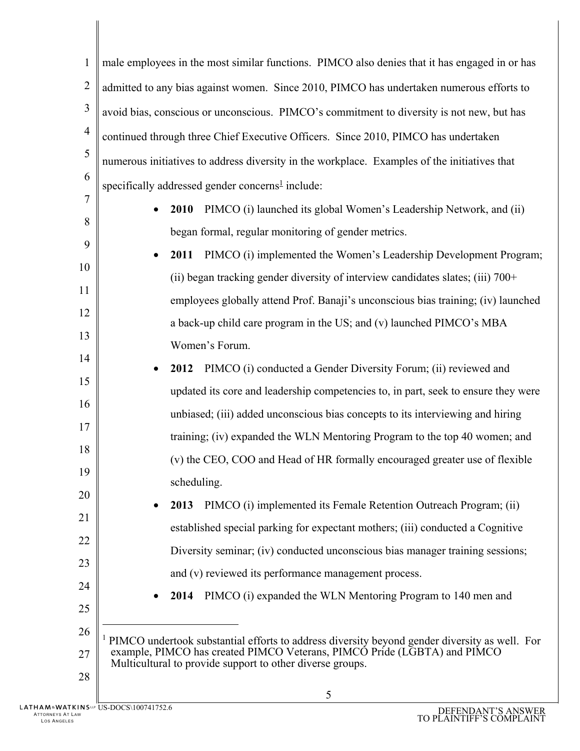| $\mathbf{1}$   | male employees in the most similar functions. PIMCO also denies that it has engaged in or has                                         |  |  |
|----------------|---------------------------------------------------------------------------------------------------------------------------------------|--|--|
| $\overline{2}$ | admitted to any bias against women. Since 2010, PIMCO has undertaken numerous efforts to                                              |  |  |
| $\mathfrak{Z}$ | avoid bias, conscious or unconscious. PIMCO's commitment to diversity is not new, but has                                             |  |  |
| $\overline{4}$ | continued through three Chief Executive Officers. Since 2010, PIMCO has undertaken                                                    |  |  |
| 5              | numerous initiatives to address diversity in the workplace. Examples of the initiatives that                                          |  |  |
| 6              | specifically addressed gender concerns <sup>1</sup> include:                                                                          |  |  |
| 7              | PIMCO (i) launched its global Women's Leadership Network, and (ii)<br>2010                                                            |  |  |
| 8              | began formal, regular monitoring of gender metrics.                                                                                   |  |  |
| 9              | PIMCO (i) implemented the Women's Leadership Development Program;<br>2011<br>$\bullet$                                                |  |  |
| 10             | (ii) began tracking gender diversity of interview candidates slates; (iii) $700+$                                                     |  |  |
| 11             | employees globally attend Prof. Banaji's unconscious bias training; (iv) launched                                                     |  |  |
| 12             | a back-up child care program in the US; and (v) launched PIMCO's MBA                                                                  |  |  |
| 13             | Women's Forum.                                                                                                                        |  |  |
| 14             | PIMCO (i) conducted a Gender Diversity Forum; (ii) reviewed and<br>2012<br>$\bullet$                                                  |  |  |
| 15             | updated its core and leadership competencies to, in part, seek to ensure they were                                                    |  |  |
| 16             | unbiased; (iii) added unconscious bias concepts to its interviewing and hiring                                                        |  |  |
| 17             | training; (iv) expanded the WLN Mentoring Program to the top 40 women; and                                                            |  |  |
| 18             | (v) the CEO, COO and Head of HR formally encouraged greater use of flexible                                                           |  |  |
| 19             | scheduling.                                                                                                                           |  |  |
| 20             | PIMCO (i) implemented its Female Retention Outreach Program; (ii)<br>2013                                                             |  |  |
| 21             | established special parking for expectant mothers; (iii) conducted a Cognitive                                                        |  |  |
| 22             | Diversity seminar; (iv) conducted unconscious bias manager training sessions;                                                         |  |  |
| 23             | and (v) reviewed its performance management process.                                                                                  |  |  |
| 24             | PIMCO (i) expanded the WLN Mentoring Program to 140 men and<br>2014                                                                   |  |  |
| 25             |                                                                                                                                       |  |  |
| 26             | <sup>1</sup> PIMCO undertook substantial efforts to address diversity beyond gender diversity as well. For                            |  |  |
| 27             | example, PIMCO has created PIMCO Veterans, PIMCO Pride (LGBTA) and PIMCO<br>Multicultural to provide support to other diverse groups. |  |  |
| 28             | 5                                                                                                                                     |  |  |
|                |                                                                                                                                       |  |  |

 $\parallel$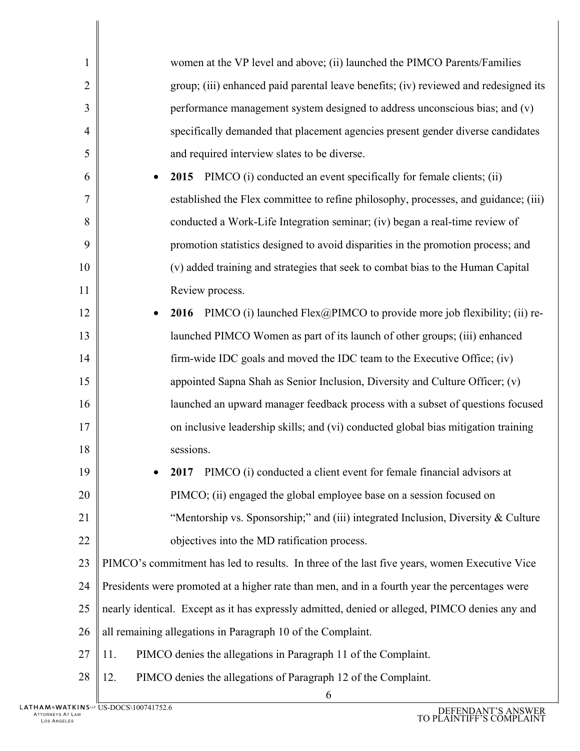| $\mathbf{1}$   | women at the VP level and above; (ii) launched the PIMCO Parents/Families                      |  |
|----------------|------------------------------------------------------------------------------------------------|--|
| $\overline{2}$ | group; (iii) enhanced paid parental leave benefits; (iv) reviewed and redesigned its           |  |
| 3              | performance management system designed to address unconscious bias; and (v)                    |  |
| 4              | specifically demanded that placement agencies present gender diverse candidates                |  |
| 5              | and required interview slates to be diverse.                                                   |  |
| 6              | PIMCO (i) conducted an event specifically for female clients; (ii)<br>2015                     |  |
| 7              | established the Flex committee to refine philosophy, processes, and guidance; (iii)            |  |
| 8              | conducted a Work-Life Integration seminar; (iv) began a real-time review of                    |  |
| 9              | promotion statistics designed to avoid disparities in the promotion process; and               |  |
| 10             | (v) added training and strategies that seek to combat bias to the Human Capital                |  |
| 11             | Review process.                                                                                |  |
| 12             | PIMCO (i) launched $Flex@PIMCO$ to provide more job flexibility; (ii) re-<br>2016              |  |
| 13             | launched PIMCO Women as part of its launch of other groups; (iii) enhanced                     |  |
| 14             | firm-wide IDC goals and moved the IDC team to the Executive Office; (iv)                       |  |
| 15             | appointed Sapna Shah as Senior Inclusion, Diversity and Culture Officer; (v)                   |  |
| 16             | launched an upward manager feedback process with a subset of questions focused                 |  |
| 17             | on inclusive leadership skills; and (vi) conducted global bias mitigation training             |  |
| 18             | sessions.                                                                                      |  |
| 19             | 2017 PIMCO (i) conducted a client event for female financial advisors at                       |  |
| 20             | PIMCO; (ii) engaged the global employee base on a session focused on                           |  |
| 21             | "Mentorship vs. Sponsorship;" and (iii) integrated Inclusion, Diversity & Culture              |  |
| 22             | objectives into the MD ratification process.                                                   |  |
| 23             | PIMCO's commitment has led to results. In three of the last five years, women Executive Vice   |  |
| 24             | Presidents were promoted at a higher rate than men, and in a fourth year the percentages were  |  |
| 25             | nearly identical. Except as it has expressly admitted, denied or alleged, PIMCO denies any and |  |
| 26             | all remaining allegations in Paragraph 10 of the Complaint.                                    |  |
| 27             | PIMCO denies the allegations in Paragraph 11 of the Complaint.<br>11.                          |  |
| 28             | PIMCO denies the allegations of Paragraph 12 of the Complaint.<br>12.                          |  |
|                | 6                                                                                              |  |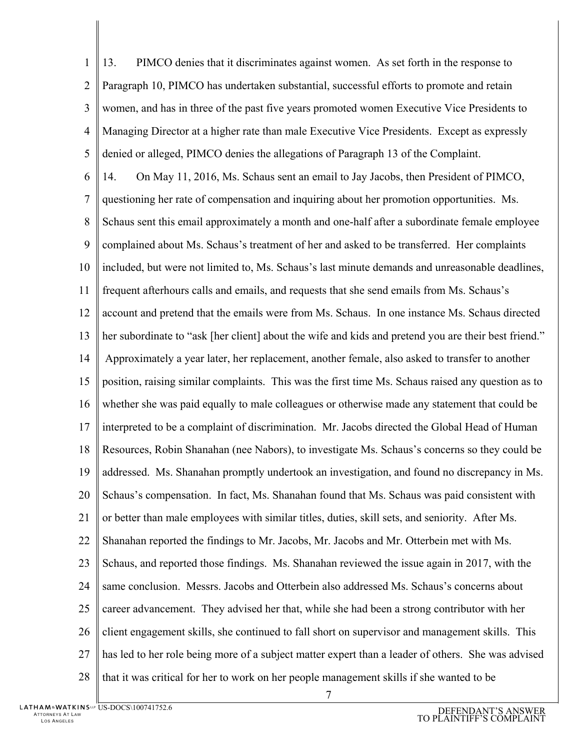1  $\overline{2}$ 3 4 5 6 7 8 9 10 11 12 13 14 15 16 17 18 19 20 21 22 23 24 25 26 27 28 13. PIMCO denies that it discriminates against women. As set forth in the response to Paragraph 10, PIMCO has undertaken substantial, successful efforts to promote and retain women, and has in three of the past five years promoted women Executive Vice Presidents to Managing Director at a higher rate than male Executive Vice Presidents. Except as expressly denied or alleged, PIMCO denies the allegations of Paragraph 13 of the Complaint. 14. On May 11, 2016, Ms. Schaus sent an email to Jay Jacobs, then President of PIMCO, questioning her rate of compensation and inquiring about her promotion opportunities. Ms. Schaus sent this email approximately a month and one-half after a subordinate female employee complained about Ms. Schaus's treatment of her and asked to be transferred. Her complaints included, but were not limited to, Ms. Schaus's last minute demands and unreasonable deadlines, frequent afterhours calls and emails, and requests that she send emails from Ms. Schaus's account and pretend that the emails were from Ms. Schaus. In one instance Ms. Schaus directed her subordinate to "ask [her client] about the wife and kids and pretend you are their best friend." Approximately a year later, her replacement, another female, also asked to transfer to another position, raising similar complaints. This was the first time Ms. Schaus raised any question as to whether she was paid equally to male colleagues or otherwise made any statement that could be interpreted to be a complaint of discrimination. Mr. Jacobs directed the Global Head of Human Resources, Robin Shanahan (nee Nabors), to investigate Ms. Schaus's concerns so they could be addressed. Ms. Shanahan promptly undertook an investigation, and found no discrepancy in Ms. Schaus's compensation. In fact, Ms. Shanahan found that Ms. Schaus was paid consistent with or better than male employees with similar titles, duties, skill sets, and seniority. After Ms. Shanahan reported the findings to Mr. Jacobs, Mr. Jacobs and Mr. Otterbein met with Ms. Schaus, and reported those findings. Ms. Shanahan reviewed the issue again in 2017, with the same conclusion. Messrs. Jacobs and Otterbein also addressed Ms. Schaus's concerns about career advancement. They advised her that, while she had been a strong contributor with her client engagement skills, she continued to fall short on supervisor and management skills. This has led to her role being more of a subject matter expert than a leader of others. She was advised that it was critical for her to work on her people management skills if she wanted to be

7

US-DOCS\100741752.6 DEFENDANT'S ANSWER TO PLAINTIFF'S COMPLAINT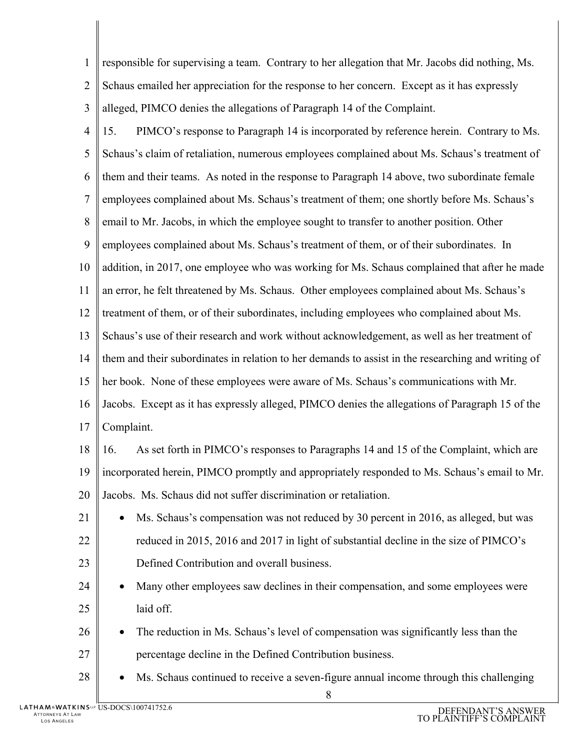| $\mathbf{1}$   | responsible for supervising a team. Contrary to her allegation that Mr. Jacobs did nothing, Ms.    |
|----------------|----------------------------------------------------------------------------------------------------|
| $\overline{2}$ | Schaus emailed her appreciation for the response to her concern. Except as it has expressly        |
| 3              | alleged, PIMCO denies the allegations of Paragraph 14 of the Complaint.                            |
| $\overline{4}$ | PIMCO's response to Paragraph 14 is incorporated by reference herein. Contrary to Ms.<br>15.       |
| 5              | Schaus's claim of retaliation, numerous employees complained about Ms. Schaus's treatment of       |
| 6              | them and their teams. As noted in the response to Paragraph 14 above, two subordinate female       |
| 7              | employees complained about Ms. Schaus's treatment of them; one shortly before Ms. Schaus's         |
| 8              | email to Mr. Jacobs, in which the employee sought to transfer to another position. Other           |
| 9              | employees complained about Ms. Schaus's treatment of them, or of their subordinates. In            |
| 10             | addition, in 2017, one employee who was working for Ms. Schaus complained that after he made       |
| 11             | an error, he felt threatened by Ms. Schaus. Other employees complained about Ms. Schaus's          |
| 12             | treatment of them, or of their subordinates, including employees who complained about Ms.          |
| 13             | Schaus's use of their research and work without acknowledgement, as well as her treatment of       |
| 14             | them and their subordinates in relation to her demands to assist in the researching and writing of |
| 15             | her book. None of these employees were aware of Ms. Schaus's communications with Mr.               |
| 16             | Jacobs. Except as it has expressly alleged, PIMCO denies the allegations of Paragraph 15 of the    |
| 17             | Complaint.                                                                                         |
| 18             | As set forth in PIMCO's responses to Paragraphs 14 and 15 of the Complaint, which are<br>16.       |
| 19             | incorporated herein, PIMCO promptly and appropriately responded to Ms. Schaus's email to Mr.       |
| 20             | Jacobs. Ms. Schaus did not suffer discrimination or retaliation.                                   |
| 21             | Ms. Schaus's compensation was not reduced by 30 percent in 2016, as alleged, but was               |
| 22             | reduced in 2015, 2016 and 2017 in light of substantial decline in the size of PIMCO's              |
| 23             | Defined Contribution and overall business.                                                         |
| 24             | Many other employees saw declines in their compensation, and some employees were                   |
| 25             | laid off.                                                                                          |
| 26             | The reduction in Ms. Schaus's level of compensation was significantly less than the                |
| 27             | percentage decline in the Defined Contribution business.                                           |
| 28             | Ms. Schaus continued to receive a seven-figure annual income through this challenging              |
|                |                                                                                                    |

8

 $\parallel$  $\overline{\phantom{a}}$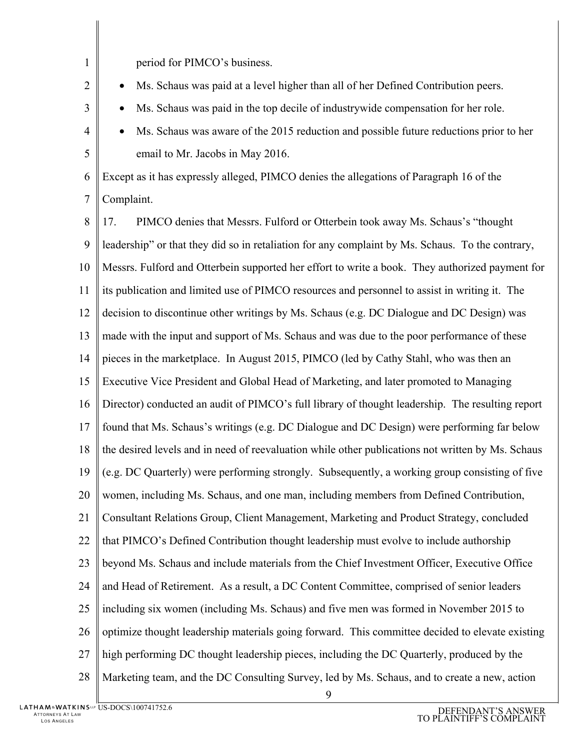1  $\mathcal{D}_{\mathcal{L}}$ 3 4 5 6 7 8 9 10 11 12 13 14 15 16 17 18 19 20 21 22 23 24 25 26 27 28 period for PIMCO's business. • Ms. Schaus was paid at a level higher than all of her Defined Contribution peers. • Ms. Schaus was paid in the top decile of industrywide compensation for her role. • Ms. Schaus was aware of the 2015 reduction and possible future reductions prior to her email to Mr. Jacobs in May 2016. Except as it has expressly alleged, PIMCO denies the allegations of Paragraph 16 of the Complaint. 17. PIMCO denies that Messrs. Fulford or Otterbein took away Ms. Schaus's "thought leadership" or that they did so in retaliation for any complaint by Ms. Schaus. To the contrary, Messrs. Fulford and Otterbein supported her effort to write a book. They authorized payment for its publication and limited use of PIMCO resources and personnel to assist in writing it. The decision to discontinue other writings by Ms. Schaus (e.g. DC Dialogue and DC Design) was made with the input and support of Ms. Schaus and was due to the poor performance of these pieces in the marketplace. In August 2015, PIMCO (led by Cathy Stahl, who was then an Executive Vice President and Global Head of Marketing, and later promoted to Managing Director) conducted an audit of PIMCO's full library of thought leadership. The resulting report found that Ms. Schaus's writings (e.g. DC Dialogue and DC Design) were performing far below the desired levels and in need of reevaluation while other publications not written by Ms. Schaus (e.g. DC Quarterly) were performing strongly. Subsequently, a working group consisting of five women, including Ms. Schaus, and one man, including members from Defined Contribution, Consultant Relations Group, Client Management, Marketing and Product Strategy, concluded that PIMCO's Defined Contribution thought leadership must evolve to include authorship beyond Ms. Schaus and include materials from the Chief Investment Officer, Executive Office and Head of Retirement. As a result, a DC Content Committee, comprised of senior leaders including six women (including Ms. Schaus) and five men was formed in November 2015 to optimize thought leadership materials going forward. This committee decided to elevate existing high performing DC thought leadership pieces, including the DC Quarterly, produced by the Marketing team, and the DC Consulting Survey, led by Ms. Schaus, and to create a new, action

9

US-DOCS\100741752.6 DEFENDANT'S ANSWER TO PLAINTIFF'S COMPLAINT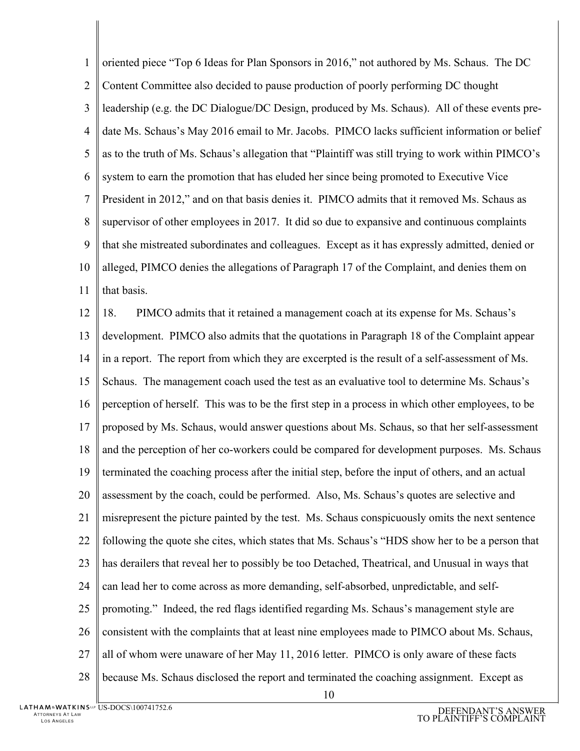1  $\overline{2}$ 3 4 5 6 7 8 9 10 11 oriented piece "Top 6 Ideas for Plan Sponsors in 2016," not authored by Ms. Schaus. The DC Content Committee also decided to pause production of poorly performing DC thought leadership (e.g. the DC Dialogue/DC Design, produced by Ms. Schaus). All of these events predate Ms. Schaus's May 2016 email to Mr. Jacobs. PIMCO lacks sufficient information or belief as to the truth of Ms. Schaus's allegation that "Plaintiff was still trying to work within PIMCO's system to earn the promotion that has eluded her since being promoted to Executive Vice President in 2012," and on that basis denies it. PIMCO admits that it removed Ms. Schaus as supervisor of other employees in 2017. It did so due to expansive and continuous complaints that she mistreated subordinates and colleagues. Except as it has expressly admitted, denied or alleged, PIMCO denies the allegations of Paragraph 17 of the Complaint, and denies them on that basis.

12 13 14 15 16 17 18 19 20 21 22 23 24 25 26 27 28 18. PIMCO admits that it retained a management coach at its expense for Ms. Schaus's development. PIMCO also admits that the quotations in Paragraph 18 of the Complaint appear in a report. The report from which they are excerpted is the result of a self-assessment of Ms. Schaus. The management coach used the test as an evaluative tool to determine Ms. Schaus's perception of herself. This was to be the first step in a process in which other employees, to be proposed by Ms. Schaus, would answer questions about Ms. Schaus, so that her self-assessment and the perception of her co-workers could be compared for development purposes. Ms. Schaus terminated the coaching process after the initial step, before the input of others, and an actual assessment by the coach, could be performed. Also, Ms. Schaus's quotes are selective and misrepresent the picture painted by the test. Ms. Schaus conspicuously omits the next sentence following the quote she cites, which states that Ms. Schaus's "HDS show her to be a person that has derailers that reveal her to possibly be too Detached, Theatrical, and Unusual in ways that can lead her to come across as more demanding, self-absorbed, unpredictable, and selfpromoting." Indeed, the red flags identified regarding Ms. Schaus's management style are consistent with the complaints that at least nine employees made to PIMCO about Ms. Schaus, all of whom were unaware of her May 11, 2016 letter. PIMCO is only aware of these facts because Ms. Schaus disclosed the report and terminated the coaching assignment. Except as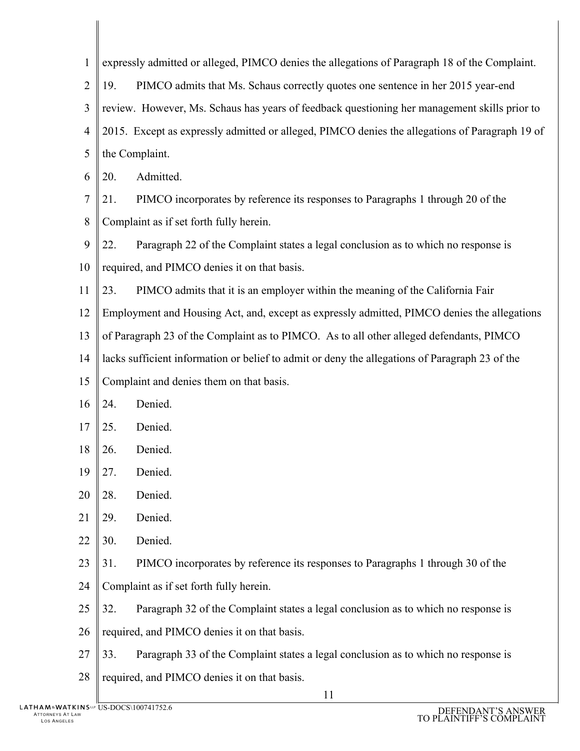| $\mathbf{1}$ | expressly admitted or alleged, PIMCO denies the allegations of Paragraph 18 of the Complaint.  |  |
|--------------|------------------------------------------------------------------------------------------------|--|
| 2            | PIMCO admits that Ms. Schaus correctly quotes one sentence in her 2015 year-end<br>19.         |  |
| 3            | review. However, Ms. Schaus has years of feedback questioning her management skills prior to   |  |
| 4            | 2015. Except as expressly admitted or alleged, PIMCO denies the allegations of Paragraph 19 of |  |
| 5            | the Complaint.                                                                                 |  |
| 6            | Admitted.<br>20.                                                                               |  |
| 7            | PIMCO incorporates by reference its responses to Paragraphs 1 through 20 of the<br>21.         |  |
| 8            | Complaint as if set forth fully herein.                                                        |  |
| 9            | 22.<br>Paragraph 22 of the Complaint states a legal conclusion as to which no response is      |  |
| 10           | required, and PIMCO denies it on that basis.                                                   |  |
| 11           | PIMCO admits that it is an employer within the meaning of the California Fair<br>23.           |  |
| 12           | Employment and Housing Act, and, except as expressly admitted, PIMCO denies the allegations    |  |
| 13           | of Paragraph 23 of the Complaint as to PIMCO. As to all other alleged defendants, PIMCO        |  |
| 14           | lacks sufficient information or belief to admit or deny the allegations of Paragraph 23 of the |  |
| 15           | Complaint and denies them on that basis.                                                       |  |
| 16           | Denied.<br>24.                                                                                 |  |
| 17           | 25.<br>Denied.                                                                                 |  |
| 18           | Denied.<br>26.                                                                                 |  |
| 19           | $\vert$ 27.<br>Denied.                                                                         |  |
| 20           | 28.<br>Denied.                                                                                 |  |
| 21           | Denied.<br>29.                                                                                 |  |
| 22           | Denied.<br>30.                                                                                 |  |
| 23           | 31.<br>PIMCO incorporates by reference its responses to Paragraphs 1 through 30 of the         |  |
| 24           | Complaint as if set forth fully herein.                                                        |  |
| 25           | Paragraph 32 of the Complaint states a legal conclusion as to which no response is<br>32.      |  |
| 26           | required, and PIMCO denies it on that basis.                                                   |  |
| 27           | Paragraph 33 of the Complaint states a legal conclusion as to which no response is<br>33.      |  |
| 28           | required, and PIMCO denies it on that basis.                                                   |  |
|              | 11                                                                                             |  |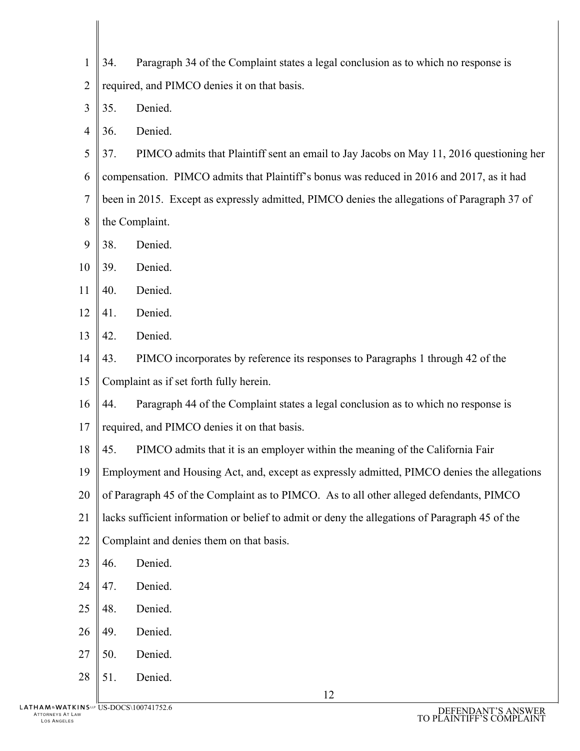- 1  $\mathcal{D}_{\mathcal{L}}$ 34. Paragraph 34 of the Complaint states a legal conclusion as to which no response is required, and PIMCO denies it on that basis.
- 3 35. Denied.
- 4 36. Denied.
- 5 6 7 8 37. PIMCO admits that Plaintiff sent an email to Jay Jacobs on May 11, 2016 questioning her compensation. PIMCO admits that Plaintiff's bonus was reduced in 2016 and 2017, as it had been in 2015. Except as expressly admitted, PIMCO denies the allegations of Paragraph 37 of the Complaint.
- 9 38. Denied.
- 10 39. Denied.
- 11 40. Denied.
- 12 41. Denied.
- 13 42. Denied.
- 14 15 43. PIMCO incorporates by reference its responses to Paragraphs 1 through 42 of the Complaint as if set forth fully herein.
- 16 44. Paragraph 44 of the Complaint states a legal conclusion as to which no response is
- 17 required, and PIMCO denies it on that basis.
- 18 45. PIMCO admits that it is an employer within the meaning of the California Fair
- 19 Employment and Housing Act, and, except as expressly admitted, PIMCO denies the allegations
- 20 of Paragraph 45 of the Complaint as to PIMCO. As to all other alleged defendants, PIMCO
- 21 lacks sufficient information or belief to admit or deny the allegations of Paragraph 45 of the
- 22 Complaint and denies them on that basis.
- 23 46. Denied.
- 24 47. Denied.
- 25 48. Denied.
- 26 49. Denied.
- 27 50. Denied.
- 28 51. Denied.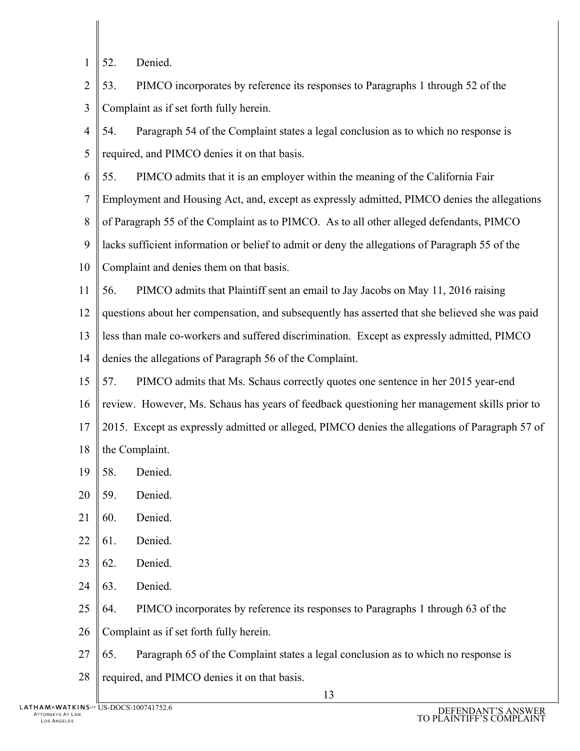- 1 52. Denied.
- $\overline{2}$ 3 53. PIMCO incorporates by reference its responses to Paragraphs 1 through 52 of the Complaint as if set forth fully herein.
- 4 5 54. Paragraph 54 of the Complaint states a legal conclusion as to which no response is required, and PIMCO denies it on that basis.
- 6 55. PIMCO admits that it is an employer within the meaning of the California Fair
- 7 Employment and Housing Act, and, except as expressly admitted, PIMCO denies the allegations
- 8 of Paragraph 55 of the Complaint as to PIMCO. As to all other alleged defendants, PIMCO
- 9 lacks sufficient information or belief to admit or deny the allegations of Paragraph 55 of the
- 10 Complaint and denies them on that basis.
- 11 56. PIMCO admits that Plaintiff sent an email to Jay Jacobs on May 11, 2016 raising
- 12 questions about her compensation, and subsequently has asserted that she believed she was paid
- 13 less than male co-workers and suffered discrimination. Except as expressly admitted, PIMCO
- 14 denies the allegations of Paragraph 56 of the Complaint.
- 15 16 17 18 57. PIMCO admits that Ms. Schaus correctly quotes one sentence in her 2015 year-end review. However, Ms. Schaus has years of feedback questioning her management skills prior to 2015. Except as expressly admitted or alleged, PIMCO denies the allegations of Paragraph 57 of the Complaint.
- 19 58. Denied.
- 20 59. Denied.
- 21 60. Denied.
- 22 61. Denied.
- 23 62. Denied.
- 24 63. Denied.
- 25 64. PIMCO incorporates by reference its responses to Paragraphs 1 through 63 of the
- 26 Complaint as if set forth fully herein.
- 27 65. Paragraph 65 of the Complaint states a legal conclusion as to which no response is
- 28 required, and PIMCO denies it on that basis.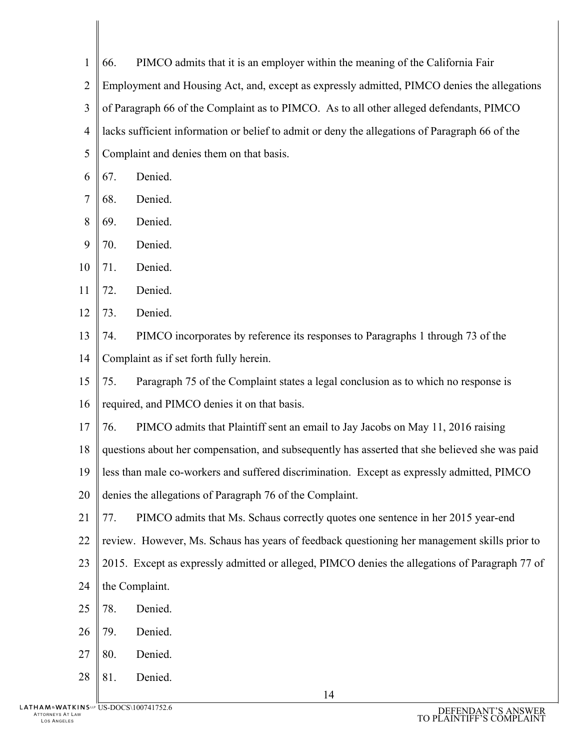1  $\overline{2}$ 3 4 5 66. PIMCO admits that it is an employer within the meaning of the California Fair Employment and Housing Act, and, except as expressly admitted, PIMCO denies the allegations of Paragraph 66 of the Complaint as to PIMCO. As to all other alleged defendants, PIMCO lacks sufficient information or belief to admit or deny the allegations of Paragraph 66 of the Complaint and denies them on that basis.

- 6 67. Denied.
- 7 68. Denied.
- 8 69. Denied.
- 9 70. Denied.
- 10 71. Denied.
- 11 72. Denied.

12 73. Denied.

13 14 74. PIMCO incorporates by reference its responses to Paragraphs 1 through 73 of the Complaint as if set forth fully herein.

15 75. Paragraph 75 of the Complaint states a legal conclusion as to which no response is

- 16 required, and PIMCO denies it on that basis.
- 17 76. PIMCO admits that Plaintiff sent an email to Jay Jacobs on May 11, 2016 raising
- 18 questions about her compensation, and subsequently has asserted that she believed she was paid
- 19 less than male co-workers and suffered discrimination. Except as expressly admitted, PIMCO
- 20 denies the allegations of Paragraph 76 of the Complaint.
- 21 77. PIMCO admits that Ms. Schaus correctly quotes one sentence in her 2015 year-end
- 22 review. However, Ms. Schaus has years of feedback questioning her management skills prior to
- 23 2015. Except as expressly admitted or alleged, PIMCO denies the allegations of Paragraph 77 of
- 24 the Complaint.
- 25 78. Denied.
- 26 79. Denied.
- 27 80. Denied.
- 28 81. Denied.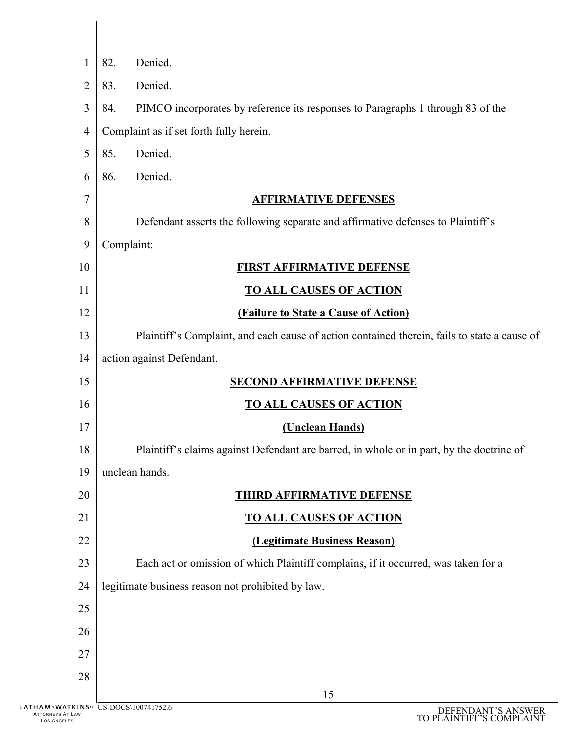| 1                  | 82.<br>Denied.                                                                                     |
|--------------------|----------------------------------------------------------------------------------------------------|
| $\overline{2}$     | Denied.<br>83.                                                                                     |
| 3                  | PIMCO incorporates by reference its responses to Paragraphs 1 through 83 of the<br>84.             |
| $\overline{4}$     | Complaint as if set forth fully herein.                                                            |
| 5                  | 85.<br>Denied.                                                                                     |
| 6                  | Denied.<br>86.                                                                                     |
| 7                  | <b>AFFIRMATIVE DEFENSES</b>                                                                        |
| 8                  | Defendant asserts the following separate and affirmative defenses to Plaintiff's                   |
| 9                  | Complaint:                                                                                         |
| 10                 | <b>FIRST AFFIRMATIVE DEFENSE</b>                                                                   |
| 11                 | <b>TO ALL CAUSES OF ACTION</b>                                                                     |
| 12                 | <b>(Failure to State a Cause of Action)</b>                                                        |
| 13                 | Plaintiff's Complaint, and each cause of action contained therein, fails to state a cause of       |
| 14                 | action against Defendant.                                                                          |
| 15                 | <b>SECOND AFFIRMATIVE DEFENSE</b>                                                                  |
| 16                 | <b>TO ALL CAUSES OF ACTION</b>                                                                     |
| 17                 | (Unclean Hands)                                                                                    |
| 18                 | Plaintiff's claims against Defendant are barred, in whole or in part, by the doctrine of           |
| 19                 | unclean hands.                                                                                     |
| 20                 | <b>THIRD AFFIRMATIVE DEFENSE</b>                                                                   |
| 21                 | <b>TO ALL CAUSES OF ACTION</b>                                                                     |
| 22                 | (Legitimate Business Reason)                                                                       |
| 23                 | Each act or omission of which Plaintiff complains, if it occurred, was taken for a                 |
| 24                 | legitimate business reason not prohibited by law.                                                  |
| 25                 |                                                                                                    |
| 26                 |                                                                                                    |
| 27                 |                                                                                                    |
| 28                 | 15                                                                                                 |
| <b>TLAW</b><br>LES | <b>ITKINS</b> <sup>LLP</sup> US-DOCS\100741752.6<br>DEFENDANT'S ANSWER<br>TO PLAINTIFF'S COMPLAINT |

ATTORNEYS AT LAW LOS ANGELES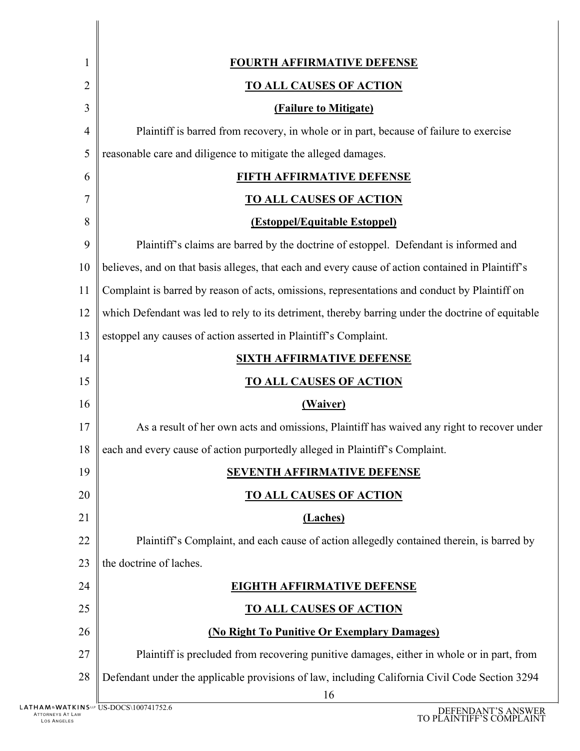| $\mathbf 1$  | <b>FOURTH AFFIRMATIVE DEFENSE</b>                                                                    |
|--------------|------------------------------------------------------------------------------------------------------|
| 2            | <b>TO ALL CAUSES OF ACTION</b>                                                                       |
| 3            | <b>(Failure to Mitigate)</b>                                                                         |
| 4            | Plaintiff is barred from recovery, in whole or in part, because of failure to exercise               |
| 5            | reasonable care and diligence to mitigate the alleged damages.                                       |
| 6            | FIFTH AFFIRMATIVE DEFENSE                                                                            |
| 7            | <u>TO ALL CAUSES OF ACTION</u>                                                                       |
| 8            | <b>(Estoppel/Equitable Estoppel)</b>                                                                 |
| 9            | Plaintiff's claims are barred by the doctrine of estoppel. Defendant is informed and                 |
| 10           | believes, and on that basis alleges, that each and every cause of action contained in Plaintiff's    |
| 11           | Complaint is barred by reason of acts, omissions, representations and conduct by Plaintiff on        |
| 12           | which Defendant was led to rely to its detriment, thereby barring under the doctrine of equitable    |
| 13           | estoppel any causes of action asserted in Plaintiff's Complaint.                                     |
| 14           | <b>SIXTH AFFIRMATIVE DEFENSE</b>                                                                     |
| 15           | <b>TO ALL CAUSES OF ACTION</b>                                                                       |
| 16           | (Waiver)                                                                                             |
| 17           | As a result of her own acts and omissions, Plaintiff has waived any right to recover under           |
| 18           | each and every cause of action purportedly alleged in Plaintiff's Complaint.                         |
| 19           | <b>SEVENTH AFFIRMATIVE DEFENSE</b>                                                                   |
| 20           | <b>TO ALL CAUSES OF ACTION</b>                                                                       |
| 21           | (Laches)                                                                                             |
| 22           | Plaintiff's Complaint, and each cause of action allegedly contained therein, is barred by            |
| 23           | the doctrine of laches.                                                                              |
| 24           | <b>EIGHTH AFFIRMATIVE DEFENSE</b>                                                                    |
| 25           | <b>TO ALL CAUSES OF ACTION</b>                                                                       |
| 26           | (No Right To Punitive Or Exemplary Damages)                                                          |
| 27           | Plaintiff is precluded from recovering punitive damages, either in whole or in part, from            |
| 28           | Defendant under the applicable provisions of law, including California Civil Code Section 3294<br>16 |
| T LAW<br>.ES | TKINSLP US-DOCS\100741752.6<br>DEFENDANT'S ANSWER<br>TO PLAINTIFF'S COMPLAINT                        |

 $\begin{array}{c} \begin{array}{c} \begin{array}{c} \end{array} \end{array} \end{array}$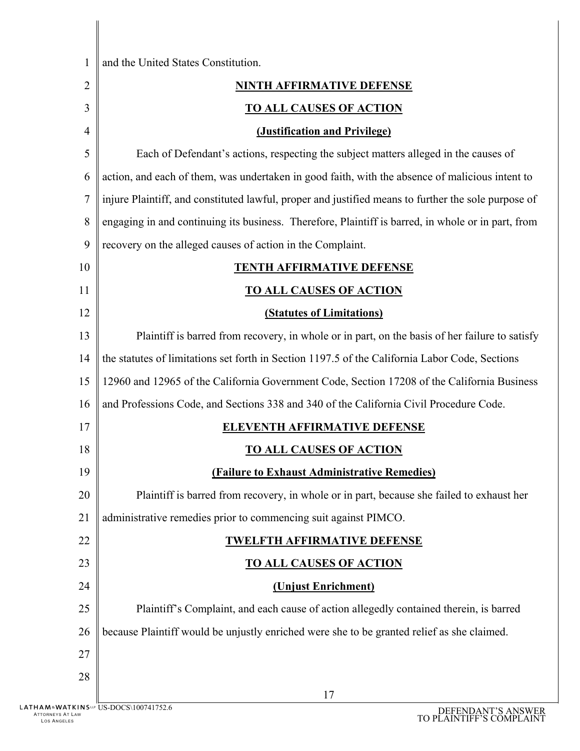| $\mathbf{1}$   | and the United States Constitution.                                                                 |
|----------------|-----------------------------------------------------------------------------------------------------|
| $\overline{2}$ | <b>NINTH AFFIRMATIVE DEFENSE</b>                                                                    |
| 3              | <b>TO ALL CAUSES OF ACTION</b>                                                                      |
| 4              | (Justification and Privilege)                                                                       |
| 5              | Each of Defendant's actions, respecting the subject matters alleged in the causes of                |
| 6              | action, and each of them, was undertaken in good faith, with the absence of malicious intent to     |
| 7              | injure Plaintiff, and constituted lawful, proper and justified means to further the sole purpose of |
| 8              | engaging in and continuing its business. Therefore, Plaintiff is barred, in whole or in part, from  |
| 9              | recovery on the alleged causes of action in the Complaint.                                          |
| 10             | <b>TENTH AFFIRMATIVE DEFENSE</b>                                                                    |
| 11             | <b>TO ALL CAUSES OF ACTION</b>                                                                      |
| 12             | <b>(Statutes of Limitations)</b>                                                                    |
| 13             | Plaintiff is barred from recovery, in whole or in part, on the basis of her failure to satisfy      |
| 14             | the statutes of limitations set forth in Section 1197.5 of the California Labor Code, Sections      |
| 15             | 12960 and 12965 of the California Government Code, Section 17208 of the California Business         |
| 16             | and Professions Code, and Sections 338 and 340 of the California Civil Procedure Code.              |
| 17             | <b>ELEVENTH AFFIRMATIVE DEFENSE</b>                                                                 |
| 18             | <b>TO ALL CAUSES OF ACTION</b>                                                                      |
| 19             | <b>(Failure to Exhaust Administrative Remedies)</b>                                                 |
| 20             | Plaintiff is barred from recovery, in whole or in part, because she failed to exhaust her           |
| 21             | administrative remedies prior to commencing suit against PIMCO.                                     |
| 22             | <b>TWELFTH AFFIRMATIVE DEFENSE</b>                                                                  |
| 23             | <b>TO ALL CAUSES OF ACTION</b>                                                                      |
| 24             | (Unjust Enrichment)                                                                                 |
| 25             | Plaintiff's Complaint, and each cause of action allegedly contained therein, is barred              |
| 26             | because Plaintiff would be unjustly enriched were she to be granted relief as she claimed.          |
| 27             |                                                                                                     |
| 28             |                                                                                                     |
|                | 17<br><b>TKINSEPTIS DOCS\1007417526</b>                                                             |

 $\mathbb{I}$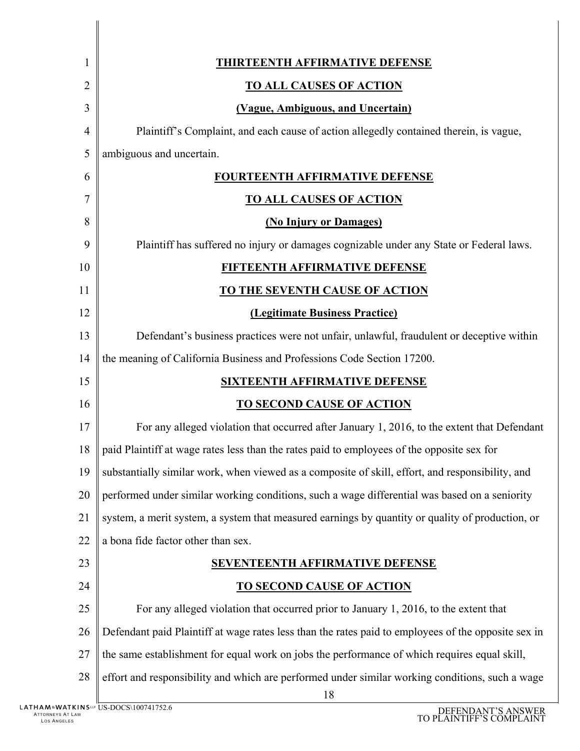| 1              | <b>THIRTEENTH AFFIRMATIVE DEFENSE</b>                                                                                  |
|----------------|------------------------------------------------------------------------------------------------------------------------|
| 2              | <b>TO ALL CAUSES OF ACTION</b>                                                                                         |
| 3              | (Vague, Ambiguous, and Uncertain)                                                                                      |
| $\overline{4}$ | Plaintiff's Complaint, and each cause of action allegedly contained therein, is vague,                                 |
| 5              | ambiguous and uncertain.                                                                                               |
| 6              | <b>FOURTEENTH AFFIRMATIVE DEFENSE</b>                                                                                  |
| 7              | <b>TO ALL CAUSES OF ACTION</b>                                                                                         |
| 8              | (No Injury or Damages)                                                                                                 |
| 9              | Plaintiff has suffered no injury or damages cognizable under any State or Federal laws.                                |
| 10             | FIFTEENTH AFFIRMATIVE DEFENSE                                                                                          |
| 11             | <b>TO THE SEVENTH CAUSE OF ACTION</b>                                                                                  |
| 12             | (Legitimate Business Practice)                                                                                         |
| 13             | Defendant's business practices were not unfair, unlawful, fraudulent or deceptive within                               |
| 14             | the meaning of California Business and Professions Code Section 17200.                                                 |
| 15             | <b>SIXTEENTH AFFIRMATIVE DEFENSE</b>                                                                                   |
| 16             | <b>TO SECOND CAUSE OF ACTION</b>                                                                                       |
| 17             | For any alleged violation that occurred after January 1, 2016, to the extent that Defendant                            |
| 18             | paid Plaintiff at wage rates less than the rates paid to employees of the opposite sex for                             |
| 19             | substantially similar work, when viewed as a composite of skill, effort, and responsibility, and                       |
| 20             | performed under similar working conditions, such a wage differential was based on a seniority                          |
| 21             | system, a merit system, a system that measured earnings by quantity or quality of production, or                       |
| 22             | a bona fide factor other than sex.                                                                                     |
| 23             | <b>SEVENTEENTH AFFIRMATIVE DEFENSE</b>                                                                                 |
| 24             | <b>TO SECOND CAUSE OF ACTION</b>                                                                                       |
| 25             | For any alleged violation that occurred prior to January 1, 2016, to the extent that                                   |
| 26             | Defendant paid Plaintiff at wage rates less than the rates paid to employees of the opposite sex in                    |
| 27             | the same establishment for equal work on jobs the performance of which requires equal skill,                           |
| 28             | effort and responsibility and which are performed under similar working conditions, such a wage<br>18<br>DOCQ100741752 |

Ц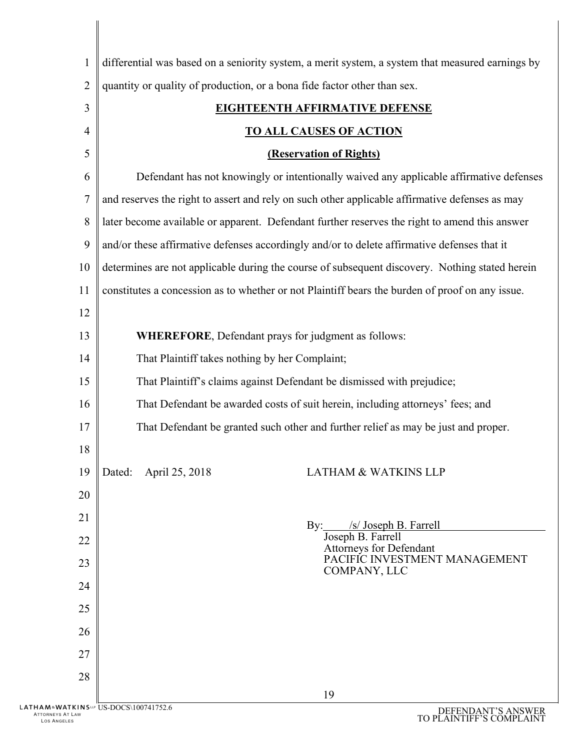| differential was based on a seniority system, a merit system, a system that measured earnings by<br>$\mathbf{1}$<br>$\overline{2}$<br>quantity or quality of production, or a bona fide factor other than sex.<br>3<br><b>EIGHTEENTH AFFIRMATIVE DEFENSE</b><br><u>TO ALL CAUSES OF ACTION</u><br>$\overline{4}$<br>5<br><b>(Reservation of Rights)</b><br>Defendant has not knowingly or intentionally waived any applicable affirmative defenses<br>6<br>7<br>and reserves the right to assert and rely on such other applicable affirmative defenses as may<br>8<br>later become available or apparent. Defendant further reserves the right to amend this answer<br>9<br>and/or these affirmative defenses accordingly and/or to delete affirmative defenses that it<br>determines are not applicable during the course of subsequent discovery. Nothing stated herein<br>10<br>constitutes a concession as to whether or not Plaintiff bears the burden of proof on any issue.<br>11<br>12<br>13<br><b>WHEREFORE, Defendant prays for judgment as follows:</b><br>That Plaintiff takes nothing by her Complaint;<br>14<br>That Plaintiff's claims against Defendant be dismissed with prejudice;<br>15<br>That Defendant be awarded costs of suit herein, including attorneys' fees; and<br>16<br>17<br>That Defendant be granted such other and further relief as may be just and proper.<br>18<br>19<br>Dated: April 25, 2018<br><b>LATHAM &amp; WATKINS LLP</b><br>20<br>21<br>By: /s/ Joseph B. Farrell<br>Joseph B. Farrell<br>22<br>Attorneys for Defendant<br>PACIFIC INVESTMENT MANAGEMENT<br>23<br>COMPANY, LLC<br>24<br>25<br>26<br>27<br>28<br>19<br>ATKINSLP US-DOCS\100741752.6<br>DEFENDANT'S ANSWER |  |  |
|-------------------------------------------------------------------------------------------------------------------------------------------------------------------------------------------------------------------------------------------------------------------------------------------------------------------------------------------------------------------------------------------------------------------------------------------------------------------------------------------------------------------------------------------------------------------------------------------------------------------------------------------------------------------------------------------------------------------------------------------------------------------------------------------------------------------------------------------------------------------------------------------------------------------------------------------------------------------------------------------------------------------------------------------------------------------------------------------------------------------------------------------------------------------------------------------------------------------------------------------------------------------------------------------------------------------------------------------------------------------------------------------------------------------------------------------------------------------------------------------------------------------------------------------------------------------------------------------------------------------------------------------------------------------------------------------------------------------------|--|--|
|                                                                                                                                                                                                                                                                                                                                                                                                                                                                                                                                                                                                                                                                                                                                                                                                                                                                                                                                                                                                                                                                                                                                                                                                                                                                                                                                                                                                                                                                                                                                                                                                                                                                                                                         |  |  |
|                                                                                                                                                                                                                                                                                                                                                                                                                                                                                                                                                                                                                                                                                                                                                                                                                                                                                                                                                                                                                                                                                                                                                                                                                                                                                                                                                                                                                                                                                                                                                                                                                                                                                                                         |  |  |
|                                                                                                                                                                                                                                                                                                                                                                                                                                                                                                                                                                                                                                                                                                                                                                                                                                                                                                                                                                                                                                                                                                                                                                                                                                                                                                                                                                                                                                                                                                                                                                                                                                                                                                                         |  |  |
|                                                                                                                                                                                                                                                                                                                                                                                                                                                                                                                                                                                                                                                                                                                                                                                                                                                                                                                                                                                                                                                                                                                                                                                                                                                                                                                                                                                                                                                                                                                                                                                                                                                                                                                         |  |  |
|                                                                                                                                                                                                                                                                                                                                                                                                                                                                                                                                                                                                                                                                                                                                                                                                                                                                                                                                                                                                                                                                                                                                                                                                                                                                                                                                                                                                                                                                                                                                                                                                                                                                                                                         |  |  |
|                                                                                                                                                                                                                                                                                                                                                                                                                                                                                                                                                                                                                                                                                                                                                                                                                                                                                                                                                                                                                                                                                                                                                                                                                                                                                                                                                                                                                                                                                                                                                                                                                                                                                                                         |  |  |
|                                                                                                                                                                                                                                                                                                                                                                                                                                                                                                                                                                                                                                                                                                                                                                                                                                                                                                                                                                                                                                                                                                                                                                                                                                                                                                                                                                                                                                                                                                                                                                                                                                                                                                                         |  |  |
|                                                                                                                                                                                                                                                                                                                                                                                                                                                                                                                                                                                                                                                                                                                                                                                                                                                                                                                                                                                                                                                                                                                                                                                                                                                                                                                                                                                                                                                                                                                                                                                                                                                                                                                         |  |  |
|                                                                                                                                                                                                                                                                                                                                                                                                                                                                                                                                                                                                                                                                                                                                                                                                                                                                                                                                                                                                                                                                                                                                                                                                                                                                                                                                                                                                                                                                                                                                                                                                                                                                                                                         |  |  |
|                                                                                                                                                                                                                                                                                                                                                                                                                                                                                                                                                                                                                                                                                                                                                                                                                                                                                                                                                                                                                                                                                                                                                                                                                                                                                                                                                                                                                                                                                                                                                                                                                                                                                                                         |  |  |
|                                                                                                                                                                                                                                                                                                                                                                                                                                                                                                                                                                                                                                                                                                                                                                                                                                                                                                                                                                                                                                                                                                                                                                                                                                                                                                                                                                                                                                                                                                                                                                                                                                                                                                                         |  |  |
|                                                                                                                                                                                                                                                                                                                                                                                                                                                                                                                                                                                                                                                                                                                                                                                                                                                                                                                                                                                                                                                                                                                                                                                                                                                                                                                                                                                                                                                                                                                                                                                                                                                                                                                         |  |  |
|                                                                                                                                                                                                                                                                                                                                                                                                                                                                                                                                                                                                                                                                                                                                                                                                                                                                                                                                                                                                                                                                                                                                                                                                                                                                                                                                                                                                                                                                                                                                                                                                                                                                                                                         |  |  |
|                                                                                                                                                                                                                                                                                                                                                                                                                                                                                                                                                                                                                                                                                                                                                                                                                                                                                                                                                                                                                                                                                                                                                                                                                                                                                                                                                                                                                                                                                                                                                                                                                                                                                                                         |  |  |
|                                                                                                                                                                                                                                                                                                                                                                                                                                                                                                                                                                                                                                                                                                                                                                                                                                                                                                                                                                                                                                                                                                                                                                                                                                                                                                                                                                                                                                                                                                                                                                                                                                                                                                                         |  |  |
|                                                                                                                                                                                                                                                                                                                                                                                                                                                                                                                                                                                                                                                                                                                                                                                                                                                                                                                                                                                                                                                                                                                                                                                                                                                                                                                                                                                                                                                                                                                                                                                                                                                                                                                         |  |  |
|                                                                                                                                                                                                                                                                                                                                                                                                                                                                                                                                                                                                                                                                                                                                                                                                                                                                                                                                                                                                                                                                                                                                                                                                                                                                                                                                                                                                                                                                                                                                                                                                                                                                                                                         |  |  |
|                                                                                                                                                                                                                                                                                                                                                                                                                                                                                                                                                                                                                                                                                                                                                                                                                                                                                                                                                                                                                                                                                                                                                                                                                                                                                                                                                                                                                                                                                                                                                                                                                                                                                                                         |  |  |
|                                                                                                                                                                                                                                                                                                                                                                                                                                                                                                                                                                                                                                                                                                                                                                                                                                                                                                                                                                                                                                                                                                                                                                                                                                                                                                                                                                                                                                                                                                                                                                                                                                                                                                                         |  |  |
|                                                                                                                                                                                                                                                                                                                                                                                                                                                                                                                                                                                                                                                                                                                                                                                                                                                                                                                                                                                                                                                                                                                                                                                                                                                                                                                                                                                                                                                                                                                                                                                                                                                                                                                         |  |  |
|                                                                                                                                                                                                                                                                                                                                                                                                                                                                                                                                                                                                                                                                                                                                                                                                                                                                                                                                                                                                                                                                                                                                                                                                                                                                                                                                                                                                                                                                                                                                                                                                                                                                                                                         |  |  |
|                                                                                                                                                                                                                                                                                                                                                                                                                                                                                                                                                                                                                                                                                                                                                                                                                                                                                                                                                                                                                                                                                                                                                                                                                                                                                                                                                                                                                                                                                                                                                                                                                                                                                                                         |  |  |
|                                                                                                                                                                                                                                                                                                                                                                                                                                                                                                                                                                                                                                                                                                                                                                                                                                                                                                                                                                                                                                                                                                                                                                                                                                                                                                                                                                                                                                                                                                                                                                                                                                                                                                                         |  |  |
|                                                                                                                                                                                                                                                                                                                                                                                                                                                                                                                                                                                                                                                                                                                                                                                                                                                                                                                                                                                                                                                                                                                                                                                                                                                                                                                                                                                                                                                                                                                                                                                                                                                                                                                         |  |  |
|                                                                                                                                                                                                                                                                                                                                                                                                                                                                                                                                                                                                                                                                                                                                                                                                                                                                                                                                                                                                                                                                                                                                                                                                                                                                                                                                                                                                                                                                                                                                                                                                                                                                                                                         |  |  |
|                                                                                                                                                                                                                                                                                                                                                                                                                                                                                                                                                                                                                                                                                                                                                                                                                                                                                                                                                                                                                                                                                                                                                                                                                                                                                                                                                                                                                                                                                                                                                                                                                                                                                                                         |  |  |
|                                                                                                                                                                                                                                                                                                                                                                                                                                                                                                                                                                                                                                                                                                                                                                                                                                                                                                                                                                                                                                                                                                                                                                                                                                                                                                                                                                                                                                                                                                                                                                                                                                                                                                                         |  |  |
|                                                                                                                                                                                                                                                                                                                                                                                                                                                                                                                                                                                                                                                                                                                                                                                                                                                                                                                                                                                                                                                                                                                                                                                                                                                                                                                                                                                                                                                                                                                                                                                                                                                                                                                         |  |  |
|                                                                                                                                                                                                                                                                                                                                                                                                                                                                                                                                                                                                                                                                                                                                                                                                                                                                                                                                                                                                                                                                                                                                                                                                                                                                                                                                                                                                                                                                                                                                                                                                                                                                                                                         |  |  |

ATTORNEYS AT LAW LOS ANGELES